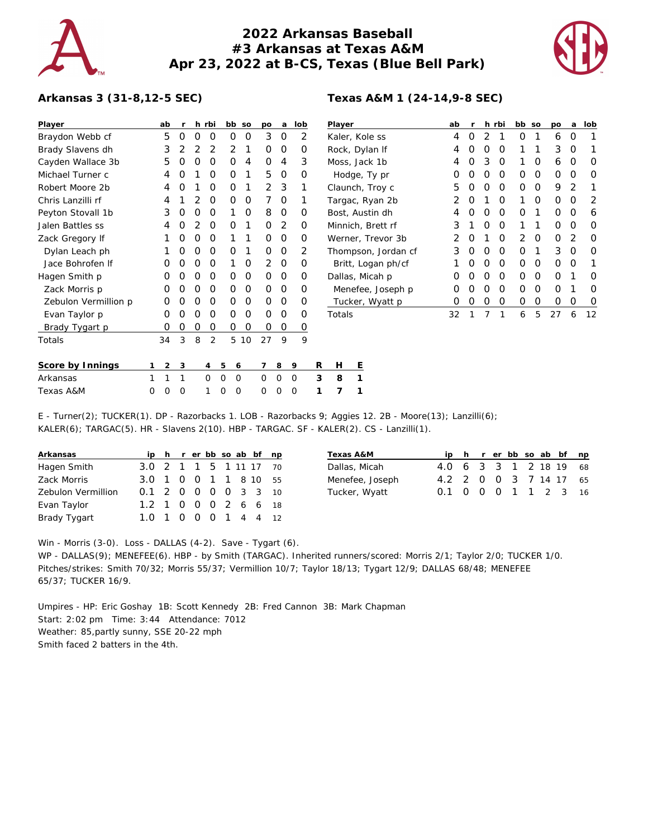

## **2022 Arkansas Baseball #3 Arkansas at Texas A&M Apr 23, 2022 at B-CS, Texas (Blue Bell Park)**



## **Arkansas 3 (31-8,12-5 SEC)**

| Player               | ab     | r        |          | h rbi    | bb so            |             | po             | a       | lob         |   | Player              | ab             | r |   | h rbi          | bb so          |   | po | a              | lob |
|----------------------|--------|----------|----------|----------|------------------|-------------|----------------|---------|-------------|---|---------------------|----------------|---|---|----------------|----------------|---|----|----------------|-----|
| Braydon Webb cf      | 5      | 0        | 0        | 0        | 0                | 0           | 3              | 0       | 2           |   | Kaler, Kole ss      | 4              | 0 | 2 |                | 0              |   | 6  | 0              |     |
| Brady Slavens dh     | 3      | 2        |          |          | 2                |             | 0              | 0       | 0           |   | Rock, Dylan If      | 4              | 0 | 0 | 0              |                |   | 3  | $\mathbf 0$    |     |
| Cayden Wallace 3b    | 5      | O        | 0        | O        | 0                | 4           | 0              | 4       | 3           |   | Moss, Jack 1b       | 4              | 0 | 3 | 0              |                | 0 | 6  | 0              | O   |
| Michael Turner c     | 4      | O        |          | $\Omega$ | O                | 1           | 5              | $\circ$ | 0           |   | Hodge, Ty pr        | 0              | O | O | 0              | $\Omega$       | 0 | 0  | 0              | O   |
| Robert Moore 2b      | 4      | O        |          | 0        | 0                |             | $\overline{2}$ | 3       |             |   | Claunch, Troy c     | 5              |   | 0 | 0              | $\Omega$       | 0 | 9  | 2              |     |
| Chris Lanzilli rf    |        |          |          | $\Omega$ | 0                | 0           | 7              | 0       |             |   | Targac, Ryan 2b     | 2              |   |   | 0              |                | 0 | 0  | 0              | 2   |
| Peyton Stovall 1b    | 3      | 0        | 0        | 0        |                  | $\mathbf 0$ | 8              | 0       | 0           |   | Bost, Austin dh     |                | O | 0 | 0              | 0              |   | 0  | 0              | 6   |
| Jalen Battles ss     |        | O        |          | 0        | O                |             | 0              | 2       | $\Omega$    |   | Minnich, Brett rf   | 3              |   | 0 | 0              |                |   | 0  | 0              | O   |
| Zack Gregory If      |        | O        | O        | 0        |                  |             | 0              | 0       | 0           |   | Werner, Trevor 3b   | $\overline{2}$ |   |   | 0              | $\overline{2}$ | 0 | 0  | $\overline{2}$ | O   |
| Dylan Leach ph       |        | 0        | 0        | $\circ$  | 0                | 1           | 0              | $\circ$ | 2           |   | Thompson, Jordan cf | 3              | 0 | 0 | $\overline{0}$ | $\Omega$       |   | 3  | $\mathbf 0$    | O   |
| Jace Bohrofen If     | 0      | 0        | 0        | 0        |                  | 0           | 2              | 0       | 0           |   | Britt, Logan ph/cf  |                | O | 0 | 0              | 0              | 0 | 0  | 0              |     |
| Hagen Smith p        | Ο      | O        | O        | 0        | 0                | 0           | 0              | $\circ$ | 0           |   | Dallas, Micah p     | 0              |   | O | 0              | $\Omega$       | 0 | 0  |                | O   |
| Zack Morris p        | 0      | $\Omega$ | $\Omega$ | 0        | 0                | 0           | 0              | 0       | 0           |   | Menefee, Joseph p   | 0              | 0 | 0 | 0              | 0              | 0 | 0  |                | 0   |
| Zebulon Vermillion p | 0      | O        | 0        | 0        | 0                | 0           | 0              | 0       | 0           |   | Tucker, Wyatt p     | 0              | 0 | 0 | 0              | 0              | 0 | 0  | 0              | 0   |
| Evan Taylor p        | Ο      | O        | O        | 0        | $\Omega$         | 0           | 0              | $\circ$ | $\Omega$    |   | Totals              | 32             |   |   |                | 6              | 5 | 27 | 6              | 12  |
| Brady Tygart p       | Ο      | O        | O        | O        | 0                | 0           | 0              | 0       | 0           |   |                     |                |   |   |                |                |   |    |                |     |
| Totals               | 34     | 3        | 8        | 2        |                  | 5 10        | 27             | 9       | 9           |   |                     |                |   |   |                |                |   |    |                |     |
|                      |        |          |          |          |                  |             |                |         |             |   |                     |                |   |   |                |                |   |    |                |     |
| Score by Innings     | 2      | 3        |          | 4        | 5<br>6           |             | 7              | 8       | 9           | R | H<br>Ε              |                |   |   |                |                |   |    |                |     |
| Arkansas             |        | 1        |          | 0        | $\mathbf 0$<br>0 |             | 0              | 0       | $\mathbf 0$ | 3 | 8<br>1              |                |   |   |                |                |   |    |                |     |
| Texas A&M            | 0<br>0 | 0        |          |          | O<br>0           |             | 0              | 0       | 0           |   | 7                   |                |   |   |                |                |   |    |                |     |

E - Turner(2); TUCKER(1). DP - Razorbacks 1. LOB - Razorbacks 9; Aggies 12. 2B - Moore(13); Lanzilli(6); KALER(6); TARGAC(5). HR - Slavens 2(10). HBP - TARGAC. SF - KALER(2). CS - Lanzilli(1).

| Arkansas           |                        |  |  |  | ip h r er bb so ab bf np |
|--------------------|------------------------|--|--|--|--------------------------|
| Hagen Smith        | 3.0 2 1 1 5 1 11 17 70 |  |  |  |                          |
| Zack Morris        | 3.0 1 0 0 1 1 8 10 55  |  |  |  |                          |
| Zebulon Vermillion | 0.1 2 0 0 0 0 3 3 10   |  |  |  |                          |
| Evan Taylor        | 1.2 1 0 0 0 2 6 6 18   |  |  |  |                          |
| Brady Tygart       | 1.0 1 0 0 0 1 4 4 12   |  |  |  |                          |

|  |  |  |  | ip h r er bb so ab bf np<br>4.0 6 3 3 1 2 18 19 68<br>4.2 2 0 0 3 7 14 17 65<br>0.1 0 0 0 1 1 2 3 16 |
|--|--|--|--|------------------------------------------------------------------------------------------------------|

Win - Morris (3-0). Loss - DALLAS (4-2). Save - Tygart (6).

WP - DALLAS(9); MENEFEE(6). HBP - by Smith (TARGAC). Inherited runners/scored: Morris 2/1; Taylor 2/0; TUCKER 1/0. Pitches/strikes: Smith 70/32; Morris 55/37; Vermillion 10/7; Taylor 18/13; Tygart 12/9; DALLAS 68/48; MENEFEE 65/37; TUCKER 16/9.

Umpires - HP: Eric Goshay 1B: Scott Kennedy 2B: Fred Cannon 3B: Mark Chapman Start: 2:02 pm Time: 3:44 Attendance: 7012 Weather: 85,partly sunny, SSE 20-22 mph Smith faced 2 batters in the 4th.

## **Texas A&M 1 (24-14,9-8 SEC)**